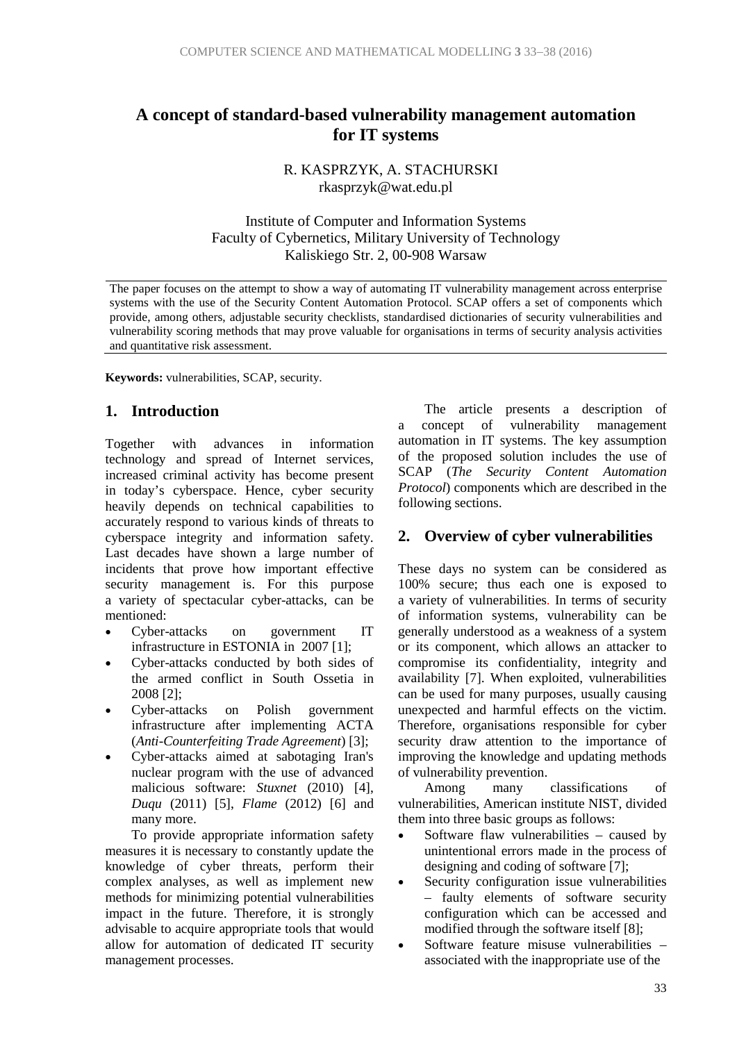# **A concept of standard-based vulnerability management automation for IT systems**

R. KASPRZYK, A. STACHURSKI rkasprzyk@wat.edu.pl

Institute of Computer and Information Systems Faculty of Cybernetics, Military University of Technology Kaliskiego Str. 2, 00-908 Warsaw

The paper focuses on the attempt to show a way of automating IT vulnerability management across enterprise systems with the use of the Security Content Automation Protocol. SCAP offers a set of components which provide, among others, adjustable security checklists, standardised dictionaries of security vulnerabilities and vulnerability scoring methods that may prove valuable for organisations in terms of security analysis activities and quantitative risk assessment.

**Keywords:** vulnerabilities, SCAP, security.

### **1. Introduction**

Together with advances in information technology and spread of Internet services, increased criminal activity has become present in today's cyberspace. Hence, cyber security heavily depends on technical capabilities to accurately respond to various kinds of threats to cyberspace integrity and information safety. Last decades have shown a large number of incidents that prove how important effective security management is. For this purpose a variety of spectacular cyber-attacks, can be mentioned:

- Cyber-attacks on government IT infrastructure in ESTONIA in 2007 [1];
- Cyber-attacks conducted by both sides of the armed conflict in South Ossetia in 2008 [2];
- Cyber-attacks on Polish government infrastructure after implementing ACTA (*Anti-Counterfeiting Trade Agreement*) [3];
- Cyber-attacks aimed at sabotaging Iran's nuclear program with the use of advanced malicious software: *Stuxnet* (2010) [4], *Duqu* (2011) [5], *Flame* (2012) [6] and many more.

To provide appropriate information safety measures it is necessary to constantly update the knowledge of cyber threats, perform their complex analyses, as well as implement new methods for minimizing potential vulnerabilities impact in the future. Therefore, it is strongly advisable to acquire appropriate tools that would allow for automation of dedicated IT security management processes.

The article presents a description of a concept of vulnerability management automation in IT systems. The key assumption of the proposed solution includes the use of SCAP (*The Security Content Automation Protocol*) components which are described in the following sections.

### **2. Overview of cyber vulnerabilities**

These days no system can be considered as 100% secure; thus each one is exposed to a variety of vulnerabilities. In terms of security of information systems, vulnerability can be generally understood as a weakness of a system or its component, which allows an attacker to compromise its confidentiality, integrity and availability [7]. When exploited, vulnerabilities can be used for many purposes, usually causing unexpected and harmful effects on the victim. Therefore, organisations responsible for cyber security draw attention to the importance of improving the knowledge and updating methods of vulnerability prevention.

Among many classifications of vulnerabilities, American institute NIST, divided them into three basic groups as follows:

- Software flaw vulnerabilities caused by unintentional errors made in the process of designing and coding of software [7];
- Security configuration issue vulnerabilities – faulty elements of software security configuration which can be accessed and modified through the software itself [8];
- Software feature misuse vulnerabilities associated with the inappropriate use of the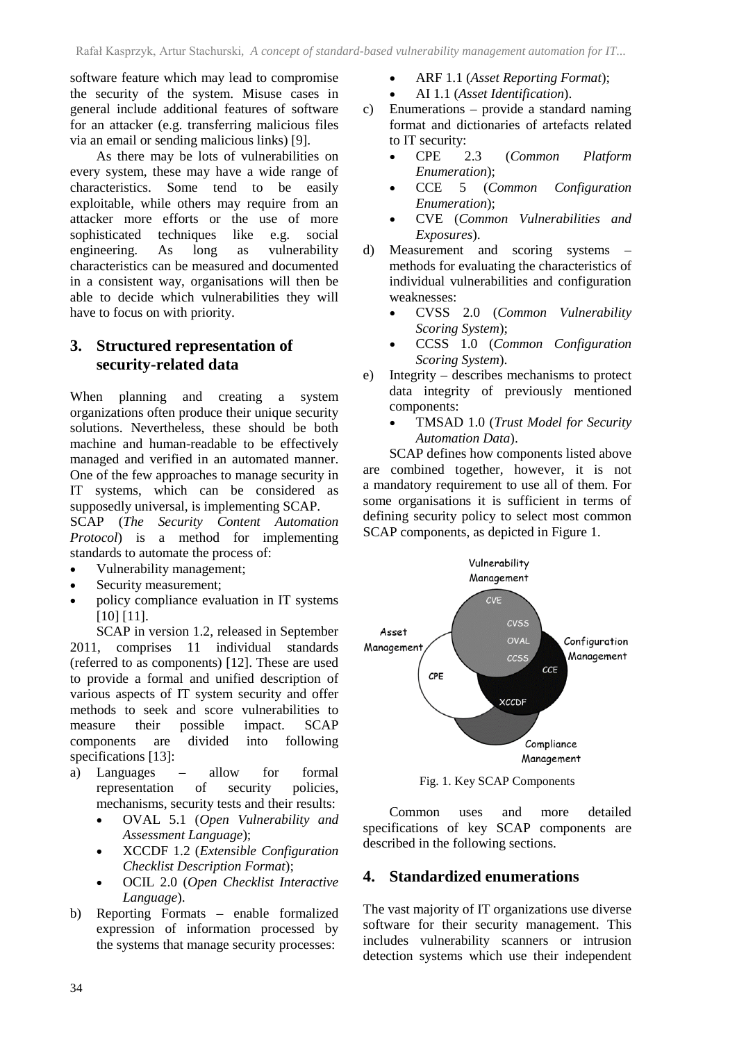software feature which may lead to compromise the security of the system. Misuse cases in general include additional features of software for an attacker (e.g. transferring malicious files via an email or sending malicious links) [9].

As there may be lots of vulnerabilities on every system, these may have a wide range of characteristics. Some tend to be easily exploitable, while others may require from an attacker more efforts or the use of more sophisticated techniques like e.g. social engineering. As long as vulnerability characteristics can be measured and documented in a consistent way, organisations will then be able to decide which vulnerabilities they will have to focus on with priority.

## **3. Structured representation of security-related data**

When planning and creating a system organizations often produce their unique security solutions. Nevertheless, these should be both machine and human-readable to be effectively managed and verified in an automated manner. One of the few approaches to manage security in IT systems, which can be considered as supposedly universal, is implementing SCAP.

SCAP (*The Security Content Automation Protocol*) is a method for implementing standards to automate the process of:

- Vulnerability management;
- Security measurement;
- policy compliance evaluation in IT systems [10] [11].

SCAP in version 1.2, released in September 2011, comprises 11 individual standards (referred to as components) [12]. These are used to provide a formal and unified description of various aspects of IT system security and offer methods to seek and score vulnerabilities to measure their possible impact. SCAP components are divided into following specifications [13]:

- a) Languages allow for formal representation of security policies, mechanisms, security tests and their results:
	- OVAL 5.1 (*Open Vulnerability and Assessment Language*);
	- XCCDF 1.2 (*Extensible Configuration Checklist Description Format*);
	- OCIL 2.0 (*Open Checklist Interactive Language*).
- b) Reporting Formats enable formalized expression of information processed by the systems that manage security processes:
- ARF 1.1 (*Asset Reporting Format*);
- AI 1.1 (*Asset Identification*).
- c) Enumerations provide a standard naming format and dictionaries of artefacts related to IT security:
	- CPE 2.3 (*Common Platform Enumeration*);
	- CCE 5 (*Common Configuration Enumeration*);
	- CVE (*Common Vulnerabilities and Exposures*).
- d) Measurement and scoring systems methods for evaluating the characteristics of individual vulnerabilities and configuration weaknesses:
	- CVSS 2.0 (*Common Vulnerability Scoring System*);
	- CCSS 1.0 (*Common Configuration Scoring System*).
- e) Integrity describes mechanisms to protect data integrity of previously mentioned components:
	- TMSAD 1.0 (*Trust Model for Security Automation Data*).

SCAP defines how components listed above are combined together, however, it is not a mandatory requirement to use all of them. For some organisations it is sufficient in terms of defining security policy to select most common SCAP components, as depicted in Figure 1.



Fig. 1. Key SCAP Components

Common uses and more detailed specifications of key SCAP components are described in the following sections.

## **4. Standardized enumerations**

The vast majority of IT organizations use diverse software for their security management. This includes vulnerability scanners or intrusion detection systems which use their independent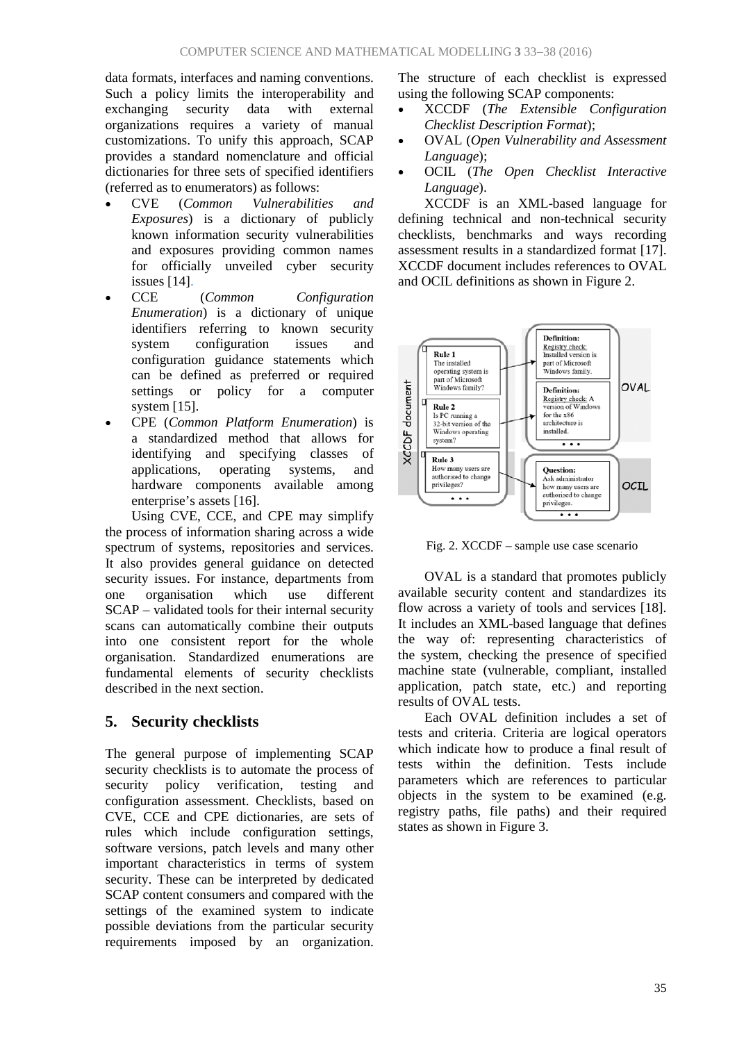data formats, interfaces and naming conventions. Such a policy limits the interoperability and exchanging security data with external organizations requires a variety of manual customizations. To unify this approach, SCAP provides a standard nomenclature and official dictionaries for three sets of specified identifiers (referred as to enumerators) as follows:

- CVE (*Common Vulnerabilities and Exposures*) is a dictionary of publicly known information security vulnerabilities and exposures providing common names for officially unveiled cyber security issues [14].
- CCE (*Common Configuration Enumeration*) is a dictionary of unique identifiers referring to known security system configuration issues and configuration guidance statements which can be defined as preferred or required settings or policy for a computer system [15].
- CPE (*Common Platform Enumeration*) is a standardized method that allows for identifying and specifying classes of applications, operating systems, and hardware components available among enterprise's assets [16].

Using CVE, CCE, and CPE may simplify the process of information sharing across a wide spectrum of systems, repositories and services. It also provides general guidance on detected security issues. For instance, departments from one organisation which use different SCAP – validated tools for their internal security scans can automatically combine their outputs into one consistent report for the whole organisation. Standardized enumerations are fundamental elements of security checklists described in the next section.

## **5. Security checklists**

The general purpose of implementing SCAP security checklists is to automate the process of security policy verification, testing and configuration assessment. Checklists, based on CVE, CCE and CPE dictionaries, are sets of rules which include configuration settings, software versions, patch levels and many other important characteristics in terms of system security. These can be interpreted by dedicated SCAP content consumers and compared with the settings of the examined system to indicate possible deviations from the particular security requirements imposed by an organization. The structure of each checklist is expressed using the following SCAP components:

- XCCDF (*The Extensible Configuration Checklist Description Format*);
- OVAL (*Open Vulnerability and Assessment Language*);
- OCIL (*The Open Checklist Interactive Language*).

XCCDF is an XML-based language for defining technical and non-technical security checklists, benchmarks and ways recording assessment results in a standardized format [17]. XCCDF document includes references to OVAL and OCIL definitions as shown in Figure 2.



Fig. 2. XCCDF – sample use case scenario

OVAL is a standard that promotes publicly available security content and standardizes its flow across a variety of tools and services [18]. It includes an XML-based language that defines the way of: representing characteristics of the system, checking the presence of specified machine state (vulnerable, compliant, installed application, patch state, etc.) and reporting results of OVAL tests.

Each OVAL definition includes a set of tests and criteria. Criteria are logical operators which indicate how to produce a final result of tests within the definition. Tests include parameters which are references to particular objects in the system to be examined (e.g. registry paths, file paths) and their required states as shown in Figure 3.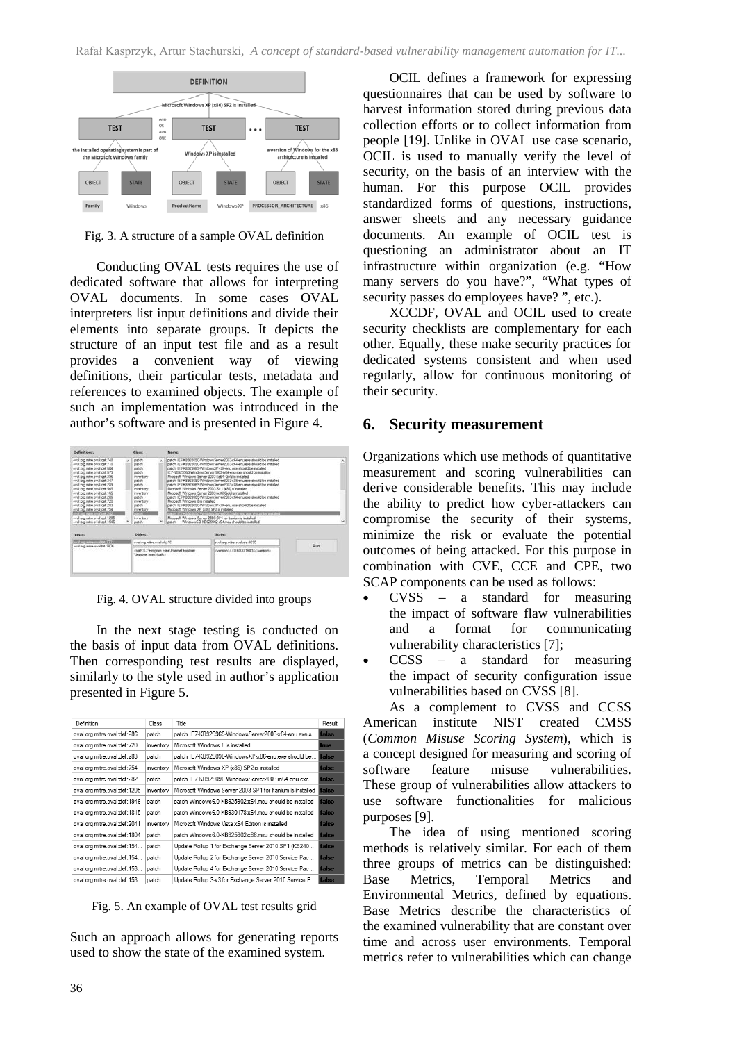

Fig. 3. A structure of a sample OVAL definition

Conducting OVAL tests requires the use of dedicated software that allows for interpreting OVAL documents. In some cases OVAL interpreters list input definitions and divide their elements into separate groups. It depicts the structure of an input test file and as a result provides a convenient way of viewing definitions, their particular tests, metadata and references to examined objects. The example of such an implementation was introduced in the author's software and is presented in Figure 4.



Fig. 4. OVAL structure divided into groups

In the next stage testing is conducted on the basis of input data from OVAL definitions. Then corresponding test results are displayed, similarly to the style used in author's application presented in Figure 5.

| Definition                   | Class     | Title                                                       | Result |
|------------------------------|-----------|-------------------------------------------------------------|--------|
| oval:org.mitre.oval:def:286  | patch     | patch IE7-KB929969-WindowsServer2003-x64-enu.exe s          | false  |
| oval:org.mitre.oval:def:720  | inventory | Microsoft Windows 8 is installed<br>true                    |        |
| oval:org.mitre.oval:def:283  | patch     | patch IE7-KB928090-WindowsXP-x86-enu.exe should be<br>false |        |
| oval:org.mitre.oval:def:754  | inventory | Microsoft Windows XP (x86) SP2 is installed                 | false  |
| oval:org.mitre.oval:def:282  | patch     | patch IE7-KB928090-WindowsServer2003-ia64-enu.exe           | false  |
| oval:org.mitre.oval:def:1205 | inventory | Microsoft Windows Server 2003 SP1 for Itanium is installed  | false  |
| oval:org.mitre.oval:def:1946 | patch     | patch Windows6.0-KB925902-x64.msu should be installed       | false  |
| oval:org.mitre.oval:def:1815 | patch     | patch Windows6.0-KB930178-x64.msu should be installed       | false  |
| oval:org.mitre.oval:def:2041 | inventory | Microsoft Windows Vista x64 Edition is installed            | false  |
| oval:org.mitre.oval:def:1804 | patch     | patch Windows6.0-KB925902-x86.msu should be installed       | false  |
| oval:org.mitre.oval:def:154  | patch     | Update Rollup 1 for Exchange Server 2010 SP1 (KB240         | false  |
| oval:org.mitre.oval:def:154  | patch     | Update Rollup 2 for Exchange Server 2010 Service Pac        | false  |
| oval:org.mitre.oval:def:153  | patch     | Update Rollup 4 for Exchange Server 2010 Service Pac        | false  |
| oval:org.mitre.oval:def:153  | patch     | Update Rollup 3-v3 for Exchange Server 2010 Service P       | false  |

Fig. 5. An example of OVAL test results grid

Such an approach allows for generating reports used to show the state of the examined system.

OCIL defines a framework for expressing questionnaires that can be used by software to harvest information stored during previous data collection efforts or to collect information from people [19]. Unlike in OVAL use case scenario, OCIL is used to manually verify the level of security, on the basis of an interview with the human. For this purpose OCIL provides standardized forms of questions, instructions, answer sheets and any necessary guidance documents. An example of OCIL test is questioning an administrator about an IT infrastructure within organization (e.g. "How many servers do you have?", "What types of security passes do employees have? ", etc.).

XCCDF, OVAL and OCIL used to create security checklists are complementary for each other. Equally, these make security practices for dedicated systems consistent and when used regularly, allow for continuous monitoring of their security.

#### **6. Security measurement**

Organizations which use methods of quantitative measurement and scoring vulnerabilities can derive considerable benefits. This may include the ability to predict how cyber-attackers can compromise the security of their systems, minimize the risk or evaluate the potential outcomes of being attacked. For this purpose in combination with CVE, CCE and CPE, two SCAP components can be used as follows:

- $CVSS$  a standard for measuring the impact of software flaw vulnerabilities and a format for communicating vulnerability characteristics [7];
- $CCSS$  a standard for measuring the impact of security configuration issue vulnerabilities based on CVSS [8].

As a complement to CVSS and CCSS American institute NIST created CMSS (*Common Misuse Scoring System*), which is a concept designed for measuring and scoring of software feature misuse vulnerabilities. These group of vulnerabilities allow attackers to use software functionalities for malicious purposes [9].

The idea of using mentioned scoring methods is relatively similar. For each of them three groups of metrics can be distinguished: Base Metrics, Temporal Metrics and Environmental Metrics, defined by equations. Base Metrics describe the characteristics of the examined vulnerability that are constant over time and across user environments. Temporal metrics refer to vulnerabilities which can change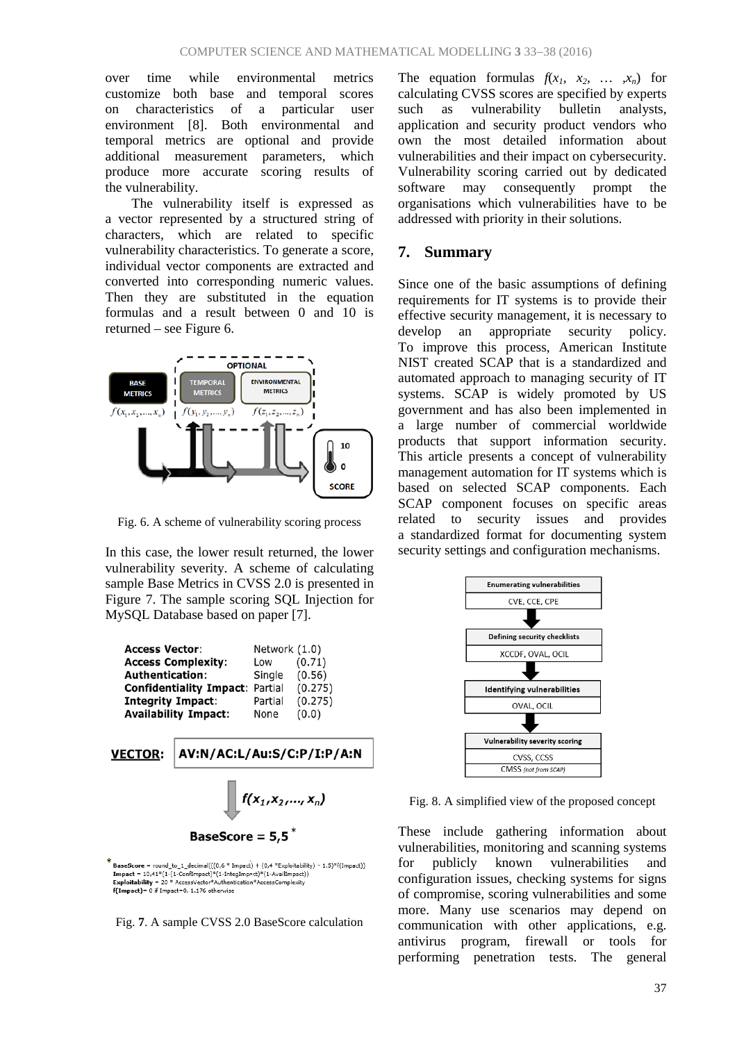over time while environmental metrics customize both base and temporal scores on characteristics of a particular user environment [8]. Both environmental and temporal metrics are optional and provide additional measurement parameters, which produce more accurate scoring results of the vulnerability.

The vulnerability itself is expressed as a vector represented by a structured string of characters, which are related to specific vulnerability characteristics. To generate a score, individual vector components are extracted and converted into corresponding numeric values. Then they are substituted in the equation formulas and a result between 0 and 10 is returned – see Figure 6.



Fig. 6. A scheme of vulnerability scoring process

In this case, the lower result returned, the lower vulnerability severity. A scheme of calculating sample Base Metrics in CVSS 2.0 is presented in Figure 7. The sample scoring SQL Injection for MySQL Database based on paper [7].

| <b>Access Vector:</b><br><b>Access Complexity:</b><br><b>Authentication:</b><br><b>Confidentiality Impact:</b><br><b>Integrity Impact:</b><br><b>Availability Impact:</b> |                                           | Network (1.0)<br>Low<br>Single<br>Partial<br>Partial<br>None | (0.71)<br>(0.56)<br>(0.275)<br>(0.275)<br>(0.0) |  |  |
|---------------------------------------------------------------------------------------------------------------------------------------------------------------------------|-------------------------------------------|--------------------------------------------------------------|-------------------------------------------------|--|--|
| <b>VECTOR:</b>                                                                                                                                                            | AV:N/AC:L/Au:S/C:P/I:P/A:N                |                                                              |                                                 |  |  |
|                                                                                                                                                                           | $f(x_1, x_2, , x_n)$<br>BaseScore = $5,5$ |                                                              |                                                 |  |  |

 $round_to_1\_decimal(((0.6 * Impact) + (0.4 *Explotability) - 1.5)*f(Importability))$ BaseScore **Exploitability = 20** \* AccessVector<sup>4</sup> Authorization \* (17)  $\frac{1}{2}$  (1-1 Auslimpact) Exploitability = 20 \* AccessVector<sup>4</sup> Authentication \* AccessComplexity  $\{f(mpat)^2\}$  (1-1 Auslimpact)) = 0 if Impact = 0, 1.176 otherw



The equation formulas  $f(x_1, x_2, \ldots, x_n)$  for calculating CVSS scores are specified by experts such as vulnerability bulletin analysts, application and security product vendors who own the most detailed information about vulnerabilities and their impact on cybersecurity. Vulnerability scoring carried out by dedicated software may consequently prompt the organisations which vulnerabilities have to be addressed with priority in their solutions.

### **7. Summary**

Since one of the basic assumptions of defining requirements for IT systems is to provide their effective security management, it is necessary to develop an appropriate security policy. To improve this process, American Institute NIST created SCAP that is a standardized and automated approach to managing security of IT systems. SCAP is widely promoted by US government and has also been implemented in a large number of commercial worldwide products that support information security. This article presents a concept of vulnerability management automation for IT systems which is based on selected SCAP components. Each SCAP component focuses on specific areas related to security issues and provides a standardized format for documenting system security settings and configuration mechanisms.



Fig. 8. A simplified view of the proposed concept

These include gathering information about vulnerabilities, monitoring and scanning systems for publicly known vulnerabilities and configuration issues, checking systems for signs of compromise, scoring vulnerabilities and some more. Many use scenarios may depend on communication with other applications, e.g. antivirus program, firewall or tools for performing penetration tests. The general